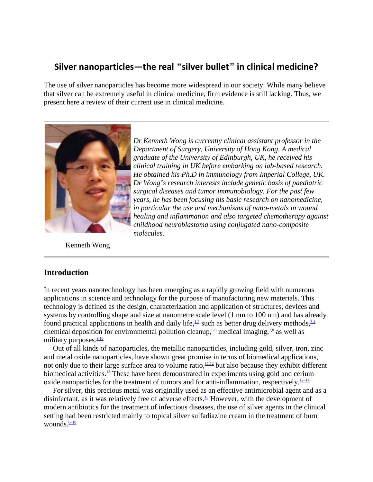# **Silver nanoparticles—the real silver bullet in clinical medicine?**

The use of silver nanoparticles has become more widespread in our society. While many believe that silver can be extremely useful in clinical medicine, firm evidence is still lacking. Thus, we present here a review of their current use in clinical medicine.



*Dr Kenneth Wong is currently clinical assistant professor in the Department of Surgery, University of Hong Kong. A medical graduate of the University of Edinburgh, UK, he received his clinical training in UK before embarking on lab-based research. He obtained his Ph.D in immunology from Imperial College, UK. Dr Wong s research interests include genetic basis of paediatric surgical diseases and tumor immunobiology. For the past few years, he has been focusing his basic research on nanomedicine, in particular the use and mechanisms of nano-metals in wound healing and inflammation and also targeted chemotherapy against childhood neuroblastoma using conjugated nano-composite molecules.*

Kenneth Wong

## **Introduction**

In recent years nanotechnology has been emerging as a rapidly growing field with numerous applications in science and technology for the purpose of manufacturing new materials. This technology is defined as the design, characterization and application of structures, devices and systems by controlling shape and size at nanometre scale level (1 nm to 100 nm) and has already found practical applications in health and daily life,  $\frac{1}{2}$  such as better drug delivery methods,  $\frac{3.4}{4}$ chemical deposition for environmental pollution cleanup,  $\frac{5.6}{1}$  medical imaging,  $\frac{7.8}{1}$  as well as military purposes. $\frac{9,10}{2}$  $\frac{9,10}{2}$  $\frac{9,10}{2}$ 

Out of all kinds of nanoparticles, the metallic nanoparticles, including gold, silver, iron, zinc and metal oxide nanoparticles, have shown great promise in terms of biomedical applications, not only due to their large surface area to volume ratio, <sup>[11,12](http://www.rsc.org/delivery/_ArticleLinking/DisplayHTMLArticleforfree.cfm?JournalCode=MD&Year=2010&ManuscriptID=c0md00069h&Iss=Advance_Article#cit11)</sup> but also because they exhibit different biomedical activities.<sup>[13](http://www.rsc.org/delivery/_ArticleLinking/DisplayHTMLArticleforfree.cfm?JournalCode=MD&Year=2010&ManuscriptID=c0md00069h&Iss=Advance_Article#cit13)</sup> These have been demonstrated in experiments using gold and cerium oxide nanoparticles for the treatment of tumors and for anti-inflammation, respectively. $12-14$ 

For silver, this precious metal was originally used as an effective antimicrobial agent and as a disinfectant, as it was relatively free of adverse effects.<sup>[15](http://www.rsc.org/delivery/_ArticleLinking/DisplayHTMLArticleforfree.cfm?JournalCode=MD&Year=2010&ManuscriptID=c0md00069h&Iss=Advance_Article#cit15)</sup> However, with the development of modern antibiotics for the treatment of infectious diseases, the use of silver agents in the clinical setting had been restricted mainly to topical silver sulfadiazine cream in the treatment of burn wounds. $6-18$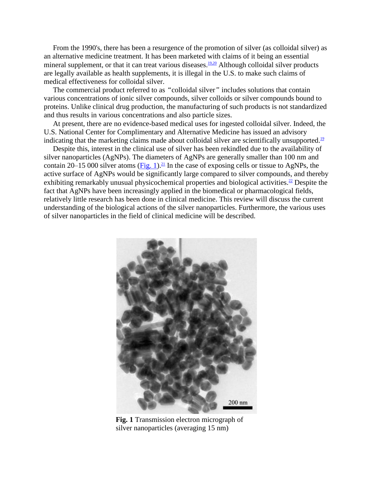From the 1990's, there has been a resurgence of the promotion of silver (as colloidal silver) as an alternative medicine treatment. It has been marketed with claims of it being an essential mineral supplement, or that it can treat various diseases.<sup>[19,20](http://www.rsc.org/delivery/_ArticleLinking/DisplayHTMLArticleforfree.cfm?JournalCode=MD&Year=2010&ManuscriptID=c0md00069h&Iss=Advance_Article#cit19)</sup> Although colloidal silver products are legally available as health supplements, it is illegal in the U.S. to make such claims of medical effectiveness for colloidal silver.

The commercial product referred to as "colloidal silver" includes solutions that contain various concentrations of ionic silver compounds, silver colloids or silver compounds bound to proteins. Unlike clinical drug production, the manufacturing of such products is not standardized and thus results in various concentrations and also particle sizes.

At present, there are no evidence-based medical uses for ingested colloidal silver. Indeed, the U.S. National Center for Complimentary and Alternative Medicine has issued an advisory indicating that the marketing claims made about colloidal silver are scientifically unsupported.<sup>[19](http://www.rsc.org/delivery/_ArticleLinking/DisplayHTMLArticleforfree.cfm?JournalCode=MD&Year=2010&ManuscriptID=c0md00069h&Iss=Advance_Article#cit19)</sup>

Despite this, interest in the clinical use of silver has been rekindled due to the availability of silver nanoparticles (AgNPs). The diameters of AgNPs are generally smaller than 100 nm and contain 20–15 000 silver atoms  $(Fig. 1)$ .<sup>[21](http://www.rsc.org/delivery/_ArticleLinking/DisplayHTMLArticleforfree.cfm?JournalCode=MD&Year=2010&ManuscriptID=c0md00069h&Iss=Advance_Article#cit21)</sup> In the case of exposing cells or tissue to AgNPs, the active surface of AgNPs would be significantly large compared to silver compounds, and thereby exhibiting remarkably unusual physicochemical properties and biological activities.<sup>[22](http://www.rsc.org/delivery/_ArticleLinking/DisplayHTMLArticleforfree.cfm?JournalCode=MD&Year=2010&ManuscriptID=c0md00069h&Iss=Advance_Article#cit22)</sup> Despite the fact that AgNPs have been increasingly applied in the biomedical or pharmacological fields, relatively little research has been done in clinical medicine. This review will discuss the current understanding of the biological actions of the silver nanoparticles. Furthermore, the various uses of silver nanoparticles in the field of clinical medicine will be described.



**Fig. 1** Transmission electron micrograph of silver nanoparticles (averaging 15 nm)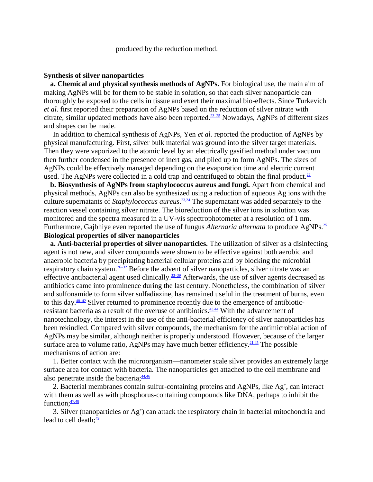produced by the reduction method.

#### **Synthesis of silver nanoparticles**

**a. Chemical and physical synthesis methods of AgNPs.** For biological use, the main aim of making AgNPs will be for them to be stable in solution, so that each silver nanoparticle can thoroughly be exposed to the cells in tissue and exert their maximal bio-effects. Since Turkevich *et al.* first reported their preparation of AgNPs based on the reduction of silver nitrate with citrate, similar updated methods have also been reported. $\frac{23-25}{2}$  Nowadays, AgNPs of different sizes and shapes can be made.

In addition to chemical synthesis of AgNPs, Yen *et al.* reported the production of AgNPs by physical manufacturing. First, silver bulk material was ground into the silver target materials. Then they were vaporized to the atomic level by an electrically gasified method under vacuum then further condensed in the presence of inert gas, and piled up to form AgNPs. The sizes of AgNPs could be effectively managed depending on the evaporation time and electric current used. The AgNPs were collected in a cold trap and centrifuged to obtain the final product.<sup>[22](http://www.rsc.org/delivery/_ArticleLinking/DisplayHTMLArticleforfree.cfm?JournalCode=MD&Year=2010&ManuscriptID=c0md00069h&Iss=Advance_Article#cit22)</sup>

**b. Biosynthesis of AgNPs from staphylococcus aureus and fungi.** Apart from chemical and physical methods, AgNPs can also be synthesized using a reduction of aqueous Ag ions with the culture supernatants of *Staphylococcus aureus*. [23,24](http://www.rsc.org/delivery/_ArticleLinking/DisplayHTMLArticleforfree.cfm?JournalCode=MD&Year=2010&ManuscriptID=c0md00069h&Iss=Advance_Article#cit23) The supernatant was added separately to the reaction vessel containing silver nitrate. The bioreduction of the silver ions in solution was monitored and the spectra measured in a UV-vis spectrophotometer at a resolution of 1 nm. Furthermore, Gajbhiye even reported the use of fungus *Alternaria alternata* to produce AgNPs.<sup>[25](http://www.rsc.org/delivery/_ArticleLinking/DisplayHTMLArticleforfree.cfm?JournalCode=MD&Year=2010&ManuscriptID=c0md00069h&Iss=Advance_Article#cit25)</sup> **Biological properties of silver nanoparticles** 

**a. Anti-bacterial properties of silver nanoparticles.** The utilization of silver as a disinfecting agent is not new, and silver compounds were shown to be effective against both aerobic and anaerobic bacteria by precipitating bacterial cellular proteins and by blocking the microbial respiratory chain system. $26-32$  Before the advent of silver nanoparticles, silver nitrate was an effective antibacterial agent used clinically. $33-39$  Afterwards, the use of silver agents decreased as antibiotics came into prominence during the last century. Nonetheless, the combination of silver and sulfonamide to form silver sulfadiazine, has remained useful in the treatment of burns, even to this day. $\frac{40-42}{2}$  Silver returned to prominence recently due to the emergence of antibiotic-resistant bacteria as a result of the overuse of antibiotics.<sup>[43,44](http://www.rsc.org/delivery/_ArticleLinking/DisplayHTMLArticleforfree.cfm?JournalCode=MD&Year=2010&ManuscriptID=c0md00069h&Iss=Advance_Article#cit43)</sup> With the advancement of nanotechnology, the interest in the use of the anti-bacterial efficiency of silver nanoparticles has been rekindled. Compared with silver compounds, the mechanism for the antimicrobial action of AgNPs may be similar, although neither is properly understood. However, because of the larger surface area to volume ratio, AgNPs may have much better efficiency.<sup>[21,45](http://www.rsc.org/delivery/_ArticleLinking/DisplayHTMLArticleforfree.cfm?JournalCode=MD&Year=2010&ManuscriptID=c0md00069h&Iss=Advance_Article#cit21)</sup> The possible mechanisms of action are:

1. Better contact with the microorganism—nanometer scale silver provides an extremely large surface area for contact with bacteria. The nanoparticles get attached to the cell membrane and also penetrate inside the bacteria; $\frac{44,46}{ }$  $\frac{44,46}{ }$  $\frac{44,46}{ }$ 

2. Bacterial membranes contain sulfur-containing proteins and AgNPs, like Ag<sup>+</sup>, can interact with them as well as with phosphorus-containing compounds like DNA, perhaps to inhibit the function: $\frac{47,48}{ }$  $\frac{47,48}{ }$  $\frac{47,48}{ }$ 

3. Silver (nanoparticles or  $Ag<sup>+</sup>$ ) can attack the respiratory chain in bacterial mitochondria and lead to cell death; $\frac{49}{2}$  $\frac{49}{2}$  $\frac{49}{2}$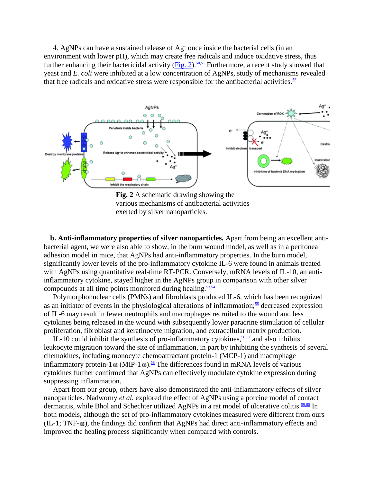4. AgNPs can have a sustained release of  $Ag<sup>+</sup>$  once inside the bacterial cells (in an environment with lower pH), which may create free radicals and induce oxidative stress, thus further enhancing their bactericidal activity [\(Fig. 2\)](http://www.rsc.org/delivery/_ArticleLinking/DisplayHTMLArticleforfree.cfm?JournalCode=MD&Year=2010&ManuscriptID=c0md00069h&Iss=Advance_Article#fig2). $\frac{50,51}{2}$  $\frac{50,51}{2}$  $\frac{50,51}{2}$  Furthermore, a recent study showed that yeast and *E. coli* were inhibited at a low concentration of AgNPs, study of mechanisms revealed that free radicals and oxidative stress were responsible for the antibacterial activities.<sup>[52](http://www.rsc.org/delivery/_ArticleLinking/DisplayHTMLArticleforfree.cfm?JournalCode=MD&Year=2010&ManuscriptID=c0md00069h&Iss=Advance_Article#cit52)</sup>



**Fig. 2** A schematic drawing showing the various mechanisms of antibacterial activities exerted by silver nanoparticles.

**b. Anti-inflammatory properties of silver nanoparticles.** Apart from being an excellent antibacterial agent, we were also able to show, in the burn wound model, as well as in a peritoneal adhesion model in mice, that AgNPs had anti-inflammatory properties. In the burn model, significantly lower levels of the pro-inflammatory cytokine IL-6 were found in animals treated with AgNPs using quantitative real-time RT-PCR. Conversely, mRNA levels of IL-10, an antiinflammatory cytokine, stayed higher in the AgNPs group in comparison with other silver compounds at all time points monitored during healing. $\frac{53,54}{2}$  $\frac{53,54}{2}$  $\frac{53,54}{2}$ 

Polymorphonuclear cells (PMNs) and fibroblasts produced IL-6, which has been recognized as an initiator of events in the physiological alterations of inflammation;<sup>[55](http://www.rsc.org/delivery/_ArticleLinking/DisplayHTMLArticleforfree.cfm?JournalCode=MD&Year=2010&ManuscriptID=c0md00069h&Iss=Advance_Article#cit55)</sup> decreased expression of IL-6 may result in fewer neutrophils and macrophages recruited to the wound and less cytokines being released in the wound with subsequently lower paracrine stimulation of cellular proliferation, fibroblast and keratinocyte migration, and extracellular matrix production.

IL-10 could inhibit the synthesis of pro-inflammatory cytokines,  $\frac{56,57}{2}$  $\frac{56,57}{2}$  $\frac{56,57}{2}$  and also inhibits leukocyte migration toward the site of inflammation, in part by inhibiting the synthesis of several chemokines, including monocyte chemoattractant protein-1 (MCP-1) and macrophage inflammatory protein-1  $\alpha$  (MIP-1  $\alpha$ ).<sup>[58](http://www.rsc.org/delivery/_ArticleLinking/DisplayHTMLArticleforfree.cfm?JournalCode=MD&Year=2010&ManuscriptID=c0md00069h&Iss=Advance_Article#cit58)</sup> The differences found in mRNA levels of various cytokines further confirmed that AgNPs can effectively modulate cytokine expression during suppressing inflammation.

Apart from our group, others have also demonstrated the anti-inflammatory effects of silver nanoparticles. Nadworny *et al.* explored the effect of AgNPs using a porcine model of contact dermatitis, while Bhol and Schechter utilized AgNPs in a rat model of ulcerative colitis.<sup>[59,60](http://www.rsc.org/delivery/_ArticleLinking/DisplayHTMLArticleforfree.cfm?JournalCode=MD&Year=2010&ManuscriptID=c0md00069h&Iss=Advance_Article#cit59)</sup> In both models, although the set of pro-inflammatory cytokines measured were different from ours  $(IL-1; TNF- $\alpha$ ), the findings did confirm that AgNPs had direct anti-inflammatory effects and$ improved the healing process significantly when compared with controls.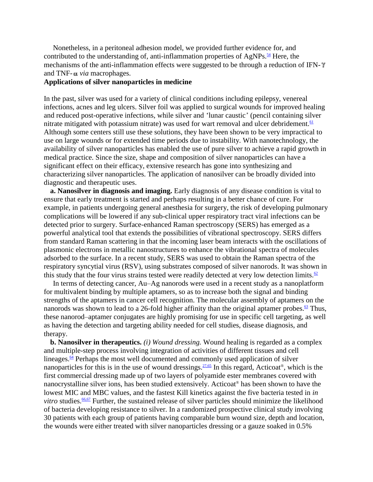Nonetheless, in a peritoneal adhesion model, we provided further evidence for, and contributed to the understanding of, anti-inflammation properties of AgNPs.<sup>[54](http://www.rsc.org/delivery/_ArticleLinking/DisplayHTMLArticleforfree.cfm?JournalCode=MD&Year=2010&ManuscriptID=c0md00069h&Iss=Advance_Article#cit54)</sup> Here, the mechanisms of the anti-inflammation effects were suggested to be through a reduction of IFNand TNF-  $\alpha$  *via* macrophages.

## **Applications of silver nanoparticles in medicine**

In the past, silver was used for a variety of clinical conditions including epilepsy, venereal infections, acnes and leg ulcers. Silver foil was applied to surgical wounds for improved healing and reduced post-operative infections, while silver and 'lunar caustic' (pencil containing silver nitrate mitigated with potassium nitrate) was used for wart removal and ulcer debridement.<sup>[61](http://www.rsc.org/delivery/_ArticleLinking/DisplayHTMLArticleforfree.cfm?JournalCode=MD&Year=2010&ManuscriptID=c0md00069h&Iss=Advance_Article#cit61)</sup> Although some centers still use these solutions, they have been shown to be very impractical to use on large wounds or for extended time periods due to instability. With nanotechnology, the availability of silver nanoparticles has enabled the use of pure silver to achieve a rapid growth in medical practice. Since the size, shape and composition of silver nanoparticles can have a significant effect on their efficacy, extensive research has gone into synthesizing and characterizing silver nanoparticles. The application of nanosilver can be broadly divided into diagnostic and therapeutic uses.

**a. Nanosilver in diagnosis and imaging.** Early diagnosis of any disease condition is vital to ensure that early treatment is started and perhaps resulting in a better chance of cure. For example, in patients undergoing general anesthesia for surgery, the risk of developing pulmonary complications will be lowered if any sub-clinical upper respiratory tract viral infections can be detected prior to surgery. Surface-enhanced Raman spectroscopy (SERS) has emerged as a powerful analytical tool that extends the possibilities of vibrational spectroscopy. SERS differs from standard Raman scattering in that the incoming laser beam interacts with the oscillations of plasmonic electrons in metallic nanostructures to enhance the vibrational spectra of molecules adsorbed to the surface. In a recent study, SERS was used to obtain the Raman spectra of the respiratory syncytial virus (RSV), using substrates composed of silver nanorods. It was shown in this study that the four virus strains tested were readily detected at very low detection limits.<sup>[62](http://www.rsc.org/delivery/_ArticleLinking/DisplayHTMLArticleforfree.cfm?JournalCode=MD&Year=2010&ManuscriptID=c0md00069h&Iss=Advance_Article#cit62)</sup>

In terms of detecting cancer, Au–Ag nanorods were used in a recent study as a nanoplatform for multivalent binding by multiple aptamers, so as to increase both the signal and binding strengths of the aptamers in cancer cell recognition. The molecular assembly of aptamers on the nanorods was shown to lead to a 26-fold higher affinity than the original aptamer probes.<sup>[63](http://www.rsc.org/delivery/_ArticleLinking/DisplayHTMLArticleforfree.cfm?JournalCode=MD&Year=2010&ManuscriptID=c0md00069h&Iss=Advance_Article#cit63)</sup> Thus, these nanorod–aptamer conjugates are highly promising for use in specific cell targeting, as well as having the detection and targeting ability needed for cell studies, disease diagnosis, and therapy.

**b. Nanosilver in therapeutics.** *(i) Wound dressing.* Wound healing is regarded as a complex and multiple-step process involving integration of activities of different tissues and cell lineages. $64$  Perhaps the most well documented and commonly used application of silver nanoparticles for this is in the use of wound dressings.<sup>[27,65](http://www.rsc.org/delivery/_ArticleLinking/DisplayHTMLArticleforfree.cfm?JournalCode=MD&Year=2010&ManuscriptID=c0md00069h&Iss=Advance_Article#cit27)</sup> In this regard, Acticoat<sup>®</sup>, which is the first commercial dressing made up of two layers of polyamide ester membranes covered with nanocrystalline silver ions, has been studied extensively. Acticoat® has been shown to have the lowest MIC and MBC values, and the fastest Kill kinetics against the five bacteria tested in *in vitro* studies.<sup>[66,67](http://www.rsc.org/delivery/_ArticleLinking/DisplayHTMLArticleforfree.cfm?JournalCode=MD&Year=2010&ManuscriptID=c0md00069h&Iss=Advance_Article#cit66)</sup> Further, the sustained release of silver particles should minimize the likelihood of bacteria developing resistance to silver. In a randomized prospective clinical study involving 30 patients with each group of patients having comparable burn wound size, depth and location, the wounds were either treated with silver nanoparticles dressing or a gauze soaked in 0.5%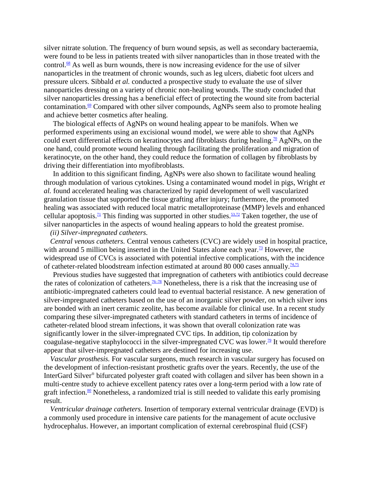silver nitrate solution. The frequency of burn wound sepsis, as well as secondary bacteraemia, were found to be less in patients treated with silver nanoparticles than in those treated with the control.<sup>[68](http://www.rsc.org/delivery/_ArticleLinking/DisplayHTMLArticleforfree.cfm?JournalCode=MD&Year=2010&ManuscriptID=c0md00069h&Iss=Advance_Article#cit68)</sup> As well as burn wounds, there is now increasing evidence for the use of silver nanoparticles in the treatment of chronic wounds, such as leg ulcers, diabetic foot ulcers and pressure ulcers. Sibbald *et al.* conducted a prospective study to evaluate the use of silver nanoparticles dressing on a variety of chronic non-healing wounds. The study concluded that silver nanoparticles dressing has a beneficial effect of protecting the wound site from bacterial contamination.<sup>[69](http://www.rsc.org/delivery/_ArticleLinking/DisplayHTMLArticleforfree.cfm?JournalCode=MD&Year=2010&ManuscriptID=c0md00069h&Iss=Advance_Article#cit69)</sup> Compared with other silver compounds, AgNPs seem also to promote healing and achieve better cosmetics after healing.

The biological effects of AgNPs on wound healing appear to be manifols. When we performed experiments using an excisional wound model, we were able to show that AgNPs could exert differential effects on keratinocytes and fibroblasts during healing.<sup>[70](http://www.rsc.org/delivery/_ArticleLinking/DisplayHTMLArticleforfree.cfm?JournalCode=MD&Year=2010&ManuscriptID=c0md00069h&Iss=Advance_Article#cit70)</sup> AgNPs, on the one hand, could promote wound healing through facilitating the proliferation and migration of keratinocyte, on the other hand, they could reduce the formation of collagen by fibroblasts by driving their differentiation into myofibroblasts.

In addition to this significant finding, AgNPs were also shown to facilitate wound healing through modulation of various cytokines. Using a contaminated wound model in pigs, Wright *et al.* found accelerated healing was characterized by rapid development of well vascularized granulation tissue that supported the tissue grafting after injury; furthermore, the promoted healing was associated with reduced local matric metalloproteinase (MMP) levels and enhanced cellular apoptosis.<sup>[71](http://www.rsc.org/delivery/_ArticleLinking/DisplayHTMLArticleforfree.cfm?JournalCode=MD&Year=2010&ManuscriptID=c0md00069h&Iss=Advance_Article#cit71)</sup> This finding was supported in other studies.<sup>[53,72](http://www.rsc.org/delivery/_ArticleLinking/DisplayHTMLArticleforfree.cfm?JournalCode=MD&Year=2010&ManuscriptID=c0md00069h&Iss=Advance_Article#cit53)</sup> Taken together, the use of silver nanoparticles in the aspects of wound healing appears to hold the greatest promise.

## *(ii) Silver-impregnated catheters.*

*Central venous catheters.* Central venous catheters (CVC) are widely used in hospital practice, with around 5 million being inserted in the United States alone each year.<sup> $\frac{73}{12}$  $\frac{73}{12}$  $\frac{73}{12}$ </sup> However, the widespread use of CVCs is associated with potential infective complications, with the incidence of catheter-related bloodstream infection estimated at around 80 000 cases annually. $\frac{74.75}{ }$ 

Previous studies have suggested that impregnation of catheters with antibiotics could decrease the rates of colonization of catheters.<sup>[76–78](http://www.rsc.org/delivery/_ArticleLinking/DisplayHTMLArticleforfree.cfm?JournalCode=MD&Year=2010&ManuscriptID=c0md00069h&Iss=Advance_Article#cit76)</sup> Nonetheless, there is a risk that the increasing use of antibiotic-impregnated catheters could lead to eventual bacterial resistance. A new generation of silver-impregnated catheters based on the use of an inorganic silver powder, on which silver ions are bonded with an inert ceramic zeolite, has become available for clinical use. In a recent study comparing these silver-impregnated catheters with standard catheters in terms of incidence of catheter-related blood stream infections, it was shown that overall colonization rate was significantly lower in the silver-impregnated CVC tips. In addition, tip colonization by coagulase-negative staphylococci in the silver-impregnated CVC was lower.<sup>[79](http://www.rsc.org/delivery/_ArticleLinking/DisplayHTMLArticleforfree.cfm?JournalCode=MD&Year=2010&ManuscriptID=c0md00069h&Iss=Advance_Article#cit79)</sup> It would therefore appear that silver-impregnated catheters are destined for increasing use.

*Vascular prosthesis.* For vascular surgeons, much research in vascular surgery has focused on the development of infection-resistant prosthetic grafts over the years. Recently, the use of the InterGard Silver® bifurcated polyester graft coated with collagen and silver has been shown in a multi-centre study to achieve excellent patency rates over a long-term period with a low rate of graft infection.<sup>[80](http://www.rsc.org/delivery/_ArticleLinking/DisplayHTMLArticleforfree.cfm?JournalCode=MD&Year=2010&ManuscriptID=c0md00069h&Iss=Advance_Article#cit80)</sup> Nonetheless, a randomized trial is still needed to validate this early promising result.

*Ventricular drainage catheters.* Insertion of temporary external ventricular drainage (EVD) is a commonly used procedure in intensive care patients for the management of acute occlusive hydrocephalus. However, an important complication of external cerebrospinal fluid (CSF)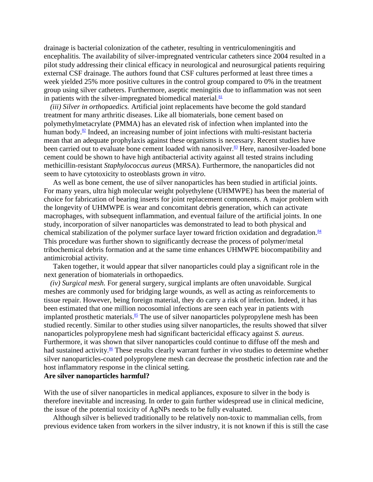drainage is bacterial colonization of the catheter, resulting in ventriculomeningitis and encephalitis. The availability of silver-impregnated ventricular catheters since 2004 resulted in a pilot study addressing their clinical efficacy in neurological and neurosurgical patients requiring external CSF drainage. The authors found that CSF cultures performed at least three times a week yielded 25% more positive cultures in the control group compared to 0% in the treatment group using silver catheters. Furthermore, aseptic meningitis due to inflammation was not seen in patients with the silver-impregnated biomedical material. $\frac{81}{2}$  $\frac{81}{2}$  $\frac{81}{2}$ 

*(iii) Silver in orthopaedics.* Artificial joint replacements have become the gold standard treatment for many arthritic diseases. Like all biomaterials, bone cement based on polymethylmetacrylate (PMMA) has an elevated risk of infection when implanted into the human body. $82$  Indeed, an increasing number of joint infections with multi-resistant bacteria mean that an adequate prophylaxis against these organisms is necessary. Recent studies have been carried out to evaluate bone cement loaded with nanosilver.<sup>[83](http://www.rsc.org/delivery/_ArticleLinking/DisplayHTMLArticleforfree.cfm?JournalCode=MD&Year=2010&ManuscriptID=c0md00069h&Iss=Advance_Article#cit83)</sup> Here, nanosilver-loaded bone cement could be shown to have high antibacterial activity against all tested strains including methicillin-resistant *Staphylococcus aureus* (MRSA). Furthermore, the nanoparticles did not seem to have cytotoxicity to osteoblasts grown *in vitro*.

As well as bone cement, the use of silver nanoparticles has been studied in artificial joints. For many years, ultra high molecular weight polyethylene (UHMWPE) has been the material of choice for fabrication of bearing inserts for joint replacement components. A major problem with the longevity of UHMWPE is wear and concomitant debris generation, which can activate macrophages, with subsequent inflammation, and eventual failure of the artificial joints. In one study, incorporation of silver nanoparticles was demonstrated to lead to both physical and chemical stabilization of the polymer surface layer toward friction oxidation and degradation. $\frac{84}{3}$  $\frac{84}{3}$  $\frac{84}{3}$ This procedure was further shown to significantly decrease the process of polymer/metal tribochemical debris formation and at the same time enhances UHMWPE biocompatibility and antimicrobial activity.

Taken together, it would appear that silver nanoparticles could play a significant role in the next generation of biomaterials in orthopaedics.

*(iv) Surgical mesh.* For general surgery, surgical implants are often unavoidable. Surgical meshes are commonly used for bridging large wounds, as well as acting as reinforcements to tissue repair. However, being foreign material, they do carry a risk of infection. Indeed, it has been estimated that one million nocosomial infections are seen each year in patients with implanted prosthetic materials.<sup>[85](http://www.rsc.org/delivery/_ArticleLinking/DisplayHTMLArticleforfree.cfm?JournalCode=MD&Year=2010&ManuscriptID=c0md00069h&Iss=Advance_Article#cit85)</sup> The use of silver nanoparticles polypropylene mesh has been studied recently. Similar to other studies using silver nanoparticles, the results showed that silver nanoparticles polypropylene mesh had significant bactericidal efficacy against *S. aureus*. Furthermore, it was shown that silver nanoparticles could continue to diffuse off the mesh and had sustained activity.<sup>[86](http://www.rsc.org/delivery/_ArticleLinking/DisplayHTMLArticleforfree.cfm?JournalCode=MD&Year=2010&ManuscriptID=c0md00069h&Iss=Advance_Article#cit86)</sup> These results clearly warrant further *in vivo* studies to determine whether silver nanoparticles-coated polypropylene mesh can decrease the prosthetic infection rate and the host inflammatory response in the clinical setting.

#### **Are silver nanoparticles harmful?**

With the use of silver nanoparticles in medical appliances, exposure to silver in the body is therefore inevitable and increasing. In order to gain further widespread use in clinical medicine, the issue of the potential toxicity of AgNPs needs to be fully evaluated.

Although silver is believed traditionally to be relatively non-toxic to mammalian cells, from previous evidence taken from workers in the silver industry, it is not known if this is still the case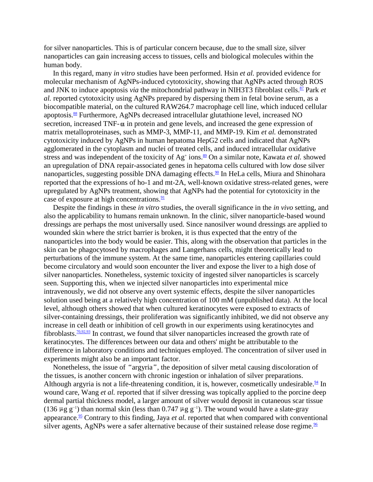for silver nanoparticles. This is of particular concern because, due to the small size, silver nanoparticles can gain increasing access to tissues, cells and biological molecules within the human body.

In this regard, many *in vitro* studies have been performed. Hsin *et al.* provided evidence for molecular mechanism of AgNPs-induced cytotoxicity, showing that AgNPs acted through ROS and JNK to induce apoptosis *via* the mitochondrial pathway in NIH3T3 fibroblast cells.<sup>[87](http://www.rsc.org/delivery/_ArticleLinking/DisplayHTMLArticleforfree.cfm?JournalCode=MD&Year=2010&ManuscriptID=c0md00069h&Iss=Advance_Article#cit87)</sup> Park *et al.* reported cytotoxicity using AgNPs prepared by dispersing them in fetal bovine serum, as a biocompatible material, on the cultured RAW264.7 macrophage cell line, which induced cellular apoptosis.<sup>[88](http://www.rsc.org/delivery/_ArticleLinking/DisplayHTMLArticleforfree.cfm?JournalCode=MD&Year=2010&ManuscriptID=c0md00069h&Iss=Advance_Article#cit88)</sup> Furthermore, AgNPs decreased intracellular glutathione level, increased NO secretion, increased  $TNF-\alpha$  in protein and gene levels, and increased the gene expression of matrix metalloproteinases, such as MMP-3, MMP-11, and MMP-19. Kim *et al.* demonstrated cytotoxicity induced by AgNPs in human hepatoma HepG2 cells and indicated that AgNPs agglomerated in the cytoplasm and nuclei of treated cells, and induced intracellular oxidative stress and was independent of the toxicity of Ag<sup>+</sup> ions.<sup>[89](http://www.rsc.org/delivery/_ArticleLinking/DisplayHTMLArticleforfree.cfm?JournalCode=MD&Year=2010&ManuscriptID=c0md00069h&Iss=Advance_Article#cit89)</sup> On a similar note, Kawata *et al.* showed an upregulation of DNA repair-associated genes in hepatoma cells cultured with low dose silver nanoparticles, suggesting possible DNA damaging effects.<sup>[90](http://www.rsc.org/delivery/_ArticleLinking/DisplayHTMLArticleforfree.cfm?JournalCode=MD&Year=2010&ManuscriptID=c0md00069h&Iss=Advance_Article#cit90)</sup> In HeLa cells, Miura and Shinohara reported that the expressions of ho-1 and mt-2A, well-known oxidative stress-related genes, were upregulated by AgNPs treatment, showing that AgNPs had the potential for cytotoxicity in the case of exposure at high concentrations. $\frac{91}{91}$  $\frac{91}{91}$  $\frac{91}{91}$ 

Despite the findings in these *in vitro* studies, the overall significance in the *in vivo* setting, and also the applicability to humans remain unknown. In the clinic, silver nanoparticle-based wound dressings are perhaps the most universally used. Since nanosilver wound dressings are applied to wounded skin where the strict barrier is broken, it is thus expected that the entry of the nanoparticles into the body would be easier. This, along with the observation that particles in the skin can be phagocytosed by macrophages and Langerhans cells, might theoretically lead to perturbations of the immune system. At the same time, nanoparticles entering capillaries could become circulatory and would soon encounter the liver and expose the liver to a high dose of silver nanoparticles. Nonetheless, systemic toxicity of ingested silver nanoparticles is scarcely seen. Supporting this, when we injected silver nanoparticles into experimental mice intravenously, we did not observe any overt systemic effects, despite the silver nanoparticles solution used being at a relatively high concentration of 100 mM (unpublished data). At the local level, although others showed that when cultured keratinocytes were exposed to extracts of silver-containing dressings, their proliferation was significantly inhibited, we did not observe any increase in cell death or inhibition of cell growth in our experiments using keratinocytes and fibroblasts.<sup>[70,92,93](http://www.rsc.org/delivery/_ArticleLinking/DisplayHTMLArticleforfree.cfm?JournalCode=MD&Year=2010&ManuscriptID=c0md00069h&Iss=Advance_Article#cit70)</sup> In contrast, we found that silver nanoparticles increased the growth rate of keratinocytes. The differences between our data and others' might be attributable to the difference in laboratory conditions and techniques employed. The concentration of silver used in experiments might also be an important factor.

Nonetheless, the issue of "argyria", the deposition of silver metal causing discoloration of the tissues, is another concern with chronic ingestion or inhalation of silver preparations. Although argyria is not a life-threatening condition, it is, however, cosmetically undesirable.<sup>[94](http://www.rsc.org/delivery/_ArticleLinking/DisplayHTMLArticleforfree.cfm?JournalCode=MD&Year=2010&ManuscriptID=c0md00069h&Iss=Advance_Article#cit94)</sup> In wound care, Wang *et al.* reported that if silver dressing was topically applied to the porcine deep dermal partial thickness model, a larger amount of silver would deposit in cutaneous scar tissue (136  $\mu$ g g<sup>-1</sup>) than normal skin (less than 0.747  $\mu$ g g<sup>-1</sup>). The wound would have a slate-gray appearance.<sup>[95](http://www.rsc.org/delivery/_ArticleLinking/DisplayHTMLArticleforfree.cfm?JournalCode=MD&Year=2010&ManuscriptID=c0md00069h&Iss=Advance_Article#cit95)</sup> Contrary to this finding, Jaya *et al.* reported that when compared with conventional silver agents, AgNPs were a safer alternative because of their sustained release dose regime. $\frac{96}{5}$  $\frac{96}{5}$  $\frac{96}{5}$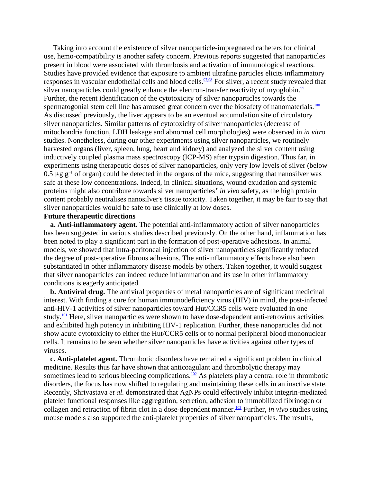Taking into account the existence of silver nanoparticle-impregnated catheters for clinical use, hemo-compatibility is another safety concern. Previous reports suggested that nanoparticles present in blood were associated with thrombosis and activation of immunological reactions. Studies have provided evidence that exposure to ambient ultrafine particles elicits inflammatory responses in vascular endothelial cells and blood cells.<sup>[97,98](http://www.rsc.org/delivery/_ArticleLinking/DisplayHTMLArticleforfree.cfm?JournalCode=MD&Year=2010&ManuscriptID=c0md00069h&Iss=Advance_Article#cit97)</sup> For silver, a recent study revealed that silver nanoparticles could greatly enhance the electron-transfer reactivity of myoglobin. $99$ Further, the recent identification of the cytotoxicity of silver nanoparticles towards the spermatogonial stem cell line has aroused great concern over the biosafety of nanomaterials.<sup>[100](http://www.rsc.org/delivery/_ArticleLinking/DisplayHTMLArticleforfree.cfm?JournalCode=MD&Year=2010&ManuscriptID=c0md00069h&Iss=Advance_Article#cit100)</sup> As discussed previously, the liver appears to be an eventual accumulation site of circulatory silver nanoparticles. Similar patterns of cytotoxicity of silver nanoparticles (decrease of mitochondria function, LDH leakage and abnormal cell morphologies) were observed in *in vitro* studies. Nonetheless, during our other experiments using silver nanoparticles, we routinely harvested organs (liver, spleen, lung, heart and kidney) and analyzed the silver content using inductively coupled plasma mass spectroscopy (ICP-MS) after trypsin digestion. Thus far, in experiments using therapeutic doses of silver nanoparticles, only very low levels of silver (below 0.5  $\mu$ g g<sup>-1</sup> of organ) could be detected in the organs of the mice, suggesting that nanosilver was safe at these low concentrations. Indeed, in clinical situations, wound exudation and systemic proteins might also contribute towards silver nanoparticles *in vivo* safety, as the high protein content probably neutralises nanosilver's tissue toxicity. Taken together, it may be fair to say that silver nanoparticles would be safe to use clinically at low doses.

#### **Future therapeutic directions**

**a. Anti-inflammatory agent.** The potential anti-inflammatory action of silver nanoparticles has been suggested in various studies described previously. On the other hand, inflammation has been noted to play a significant part in the formation of post-operative adhesions. In animal models, we showed that intra-peritoneal injection of silver nanoparticles significantly reduced the degree of post-operative fibrous adhesions. The anti-inflammatory effects have also been substantiated in other inflammatory disease models by others. Taken together, it would suggest that silver nanoparticles can indeed reduce inflammation and its use in other inflammatory conditions is eagerly anticipated.

**b. Antiviral drug.** The antiviral properties of metal nanoparticles are of significant medicinal interest. With finding a cure for human immunodeficiency virus (HIV) in mind, the post-infected anti-HIV-1 activities of silver nanoparticles toward Hut/CCR5 cells were evaluated in one study.<sup>[101](http://www.rsc.org/delivery/_ArticleLinking/DisplayHTMLArticleforfree.cfm?JournalCode=MD&Year=2010&ManuscriptID=c0md00069h&Iss=Advance_Article#cit101)</sup> Here, silver nanoparticles were shown to have dose-dependent anti-retrovirus activities and exhibited high potency in inhibiting HIV-1 replication. Further, these nanoparticles did not show acute cytotoxicity to either the Hut/CCR5 cells or to normal peripheral blood mononuclear cells. It remains to be seen whether silver nanoparticles have activities against other types of viruses.

**c. Anti-platelet agent.** Thrombotic disorders have remained a significant problem in clinical medicine. Results thus far have shown that anticoagulant and thrombolytic therapy may sometimes lead to serious bleeding complications.<sup>[102](http://www.rsc.org/delivery/_ArticleLinking/DisplayHTMLArticleforfree.cfm?JournalCode=MD&Year=2010&ManuscriptID=c0md00069h&Iss=Advance_Article#cit102)</sup> As platelets play a central role in thrombotic disorders, the focus has now shifted to regulating and maintaining these cells in an inactive state. Recently, Shrivastava *et al.* demonstrated that AgNPs could effectively inhibit integrin-mediated platelet functional responses like aggregation, secretion, adhesion to immobilized fibrinogen or collagen and retraction of fibrin clot in a dose-dependent manner.<sup>[103](http://www.rsc.org/delivery/_ArticleLinking/DisplayHTMLArticleforfree.cfm?JournalCode=MD&Year=2010&ManuscriptID=c0md00069h&Iss=Advance_Article#cit103)</sup> Further, *in vivo* studies using mouse models also supported the anti-platelet properties of silver nanoparticles. The results,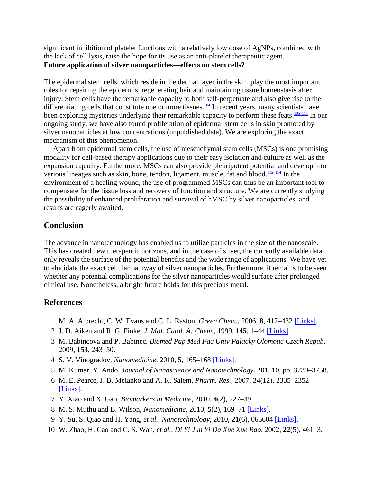significant inhibition of platelet functions with a relatively low dose of AgNPs, combined with the lack of cell lysis, raise the hope for its use as an anti-platelet therapeutic agent. **Future application of silver nanoparticles—effects on stem cells?** 

The epidermal stem cells, which reside in the dermal layer in the skin, play the most important roles for repairing the epidermis, regenerating hair and maintaining tissue homeostasis after injury. Stem cells have the remarkable capacity to both self-perpetuate and also give rise to the differentiating cells that constitute one or more tissues.<sup>[104](http://www.rsc.org/delivery/_ArticleLinking/DisplayHTMLArticleforfree.cfm?JournalCode=MD&Year=2010&ManuscriptID=c0md00069h&Iss=Advance_Article#cit104)</sup> In recent years, many scientists have been exploring mysteries underlying their remarkable capacity to perform these feats.<sup>[105–111](http://www.rsc.org/delivery/_ArticleLinking/DisplayHTMLArticleforfree.cfm?JournalCode=MD&Year=2010&ManuscriptID=c0md00069h&Iss=Advance_Article#cit105)</sup> In our ongoing study, we have also found proliferation of epidermal stem cells in skin promoted by silver nanoparticles at low concentrations (unpublished data). We are exploring the exact mechanism of this phenomenon.

Apart from epidermal stem cells, the use of mesenchymal stem cells (MSCs) is one promising modality for cell-based therapy applications due to their easy isolation and culture as well as the expansion capacity. Furthermore, MSCs can also provide pleuripotent potential and develop into various lineages such as skin, bone, tendon, ligament, muscle, fat and blood. $\frac{112-114}{2}$  In the environment of a healing wound, the use of programmed MSCs can thus be an important tool to compensate for the tissue loss and recovery of function and structure. We are currently studying the possibility of enhanced proliferation and survival of hMSC by silver nanoparticles, and results are eagerly awaited.

### **Conclusion**

The advance in nanotechnology has enabled us to utilize particles in the size of the nanoscale. This has created new therapeutic horizons, and in the case of silver, the currently available data only reveals the surface of the potential benefits and the wide range of applications. We have yet to elucidate the exact cellular pathway of silver nanoparticles. Furthermore, it remains to be seen whether any potential complications for the silver nanoparticles would surface after prolonged clinical use. Nonetheless, a bright future holds for this precious metal.

#### **References**

- 1 M. A. Albrecht, C. W. Evans and C. L. Raston, *Green Chem.*, 2006, **8**, 417–432 [\[Links\].](http://xlink.rsc.org/?doi=b517131h)
- 2 J. D. Aiken and R. G. Finke, *J. Mol. Catal. A: Chem.*, 1999, **145**, 1–44 [\[Links\].](http://www.rsc.org/delivery/_ArticleLinking/citationresolver.cfm?artID=63838)
- 3 M. Babincova and P. Babinec, *Biomed Pap Med Fac Univ Palacky Olomouc Czech Repub*, 2009, **153**, 243–50.
- 4 S. V. Vinogradov, *Nanomedicine*, 2010, **5**, 165–168 [\[Links\].](http://www.rsc.org/delivery/_ArticleLinking/citationresolver.cfm?artID=1826415)
- 5 M. Kumar, Y. Ando. *Journal of Nanoscience and Nanotechnology*. 201, 10, pp. 3739–3758.
- 6 M. E. Pearce, J. B. Melanko and A. K. Salem, *Pharm. Res.*, 2007, **24**(12), 2335–2352 [\[Links\].](http://www.rsc.org/delivery/_ArticleLinking/citationresolver.cfm?artID=1826416)
- 7 Y. Xiao and X. Gao, *Biomarkers in Medicine*, 2010, **4**(2), 227–39.
- 8 M. S. Muthu and B. Wilson, *Nanomedicine*, 2010, **5**(2), 169–71 [\[Links\].](http://www.rsc.org/delivery/_ArticleLinking/citationresolver.cfm?artID=1826417)
- 9 Y. Su, S. Qiao and H. Yang, *et al.*, *Nanotechnology*, 2010, **21**(6), 065604 [\[Links\].](http://www.rsc.org/delivery/_ArticleLinking/citationresolver.cfm?artID=1826418)
- 10 W. Zhao, H. Cao and C. S. Wan, *et al.*, *Di Yi Jun Yi Da Xue Xue Bao*, 2002, **22**(5), 461–3.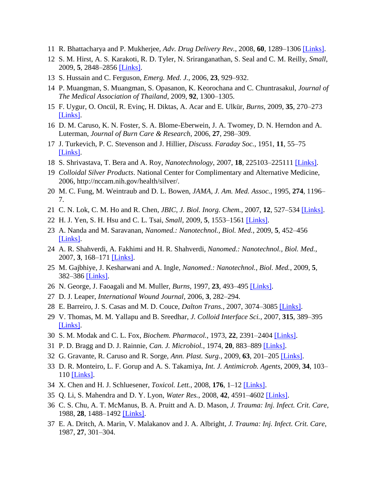- R. Bhattacharya and P. Mukherjee, *Adv. Drug Delivery Rev.*, 2008, **60**, 1289–1306 [\[Links\].](http://www.rsc.org/delivery/_ArticleLinking/citationresolver.cfm?artID=1584582)
- S. M. Hirst, A. S. Karakoti, R. D. Tyler, N. Sriranganathan, S. Seal and C. M. Reilly, *Small*, 2009, **5**, 2848–2856 [\[Links\].](http://www.rsc.org/delivery/_ArticleLinking/citationresolver.cfm?artID=1826419)
- S. Hussain and C. Ferguson, *Emerg. Med. J.*, 2006, **23**, 929–932.
- P. Muangman, S. Muangman, S. Opasanon, K. Keorochana and C. Chuntrasakul, *Journal of The Medical Association of Thailand*, 2009, **92**, 1300–1305.
- F. Uygur, O. Oncül, R. Evinç, H. Diktas, A. Acar and E. Ulkür, *Burns*, 2009, **35**, 270–273 [\[Links\].](http://www.rsc.org/delivery/_ArticleLinking/citationresolver.cfm?artID=1826420)
- D. M. Caruso, K. N. Foster, S. A. Blome-Eberwein, J. A. Twomey, D. N. Herndon and A. Luterman, *Journal of Burn Care & Research*, 2006, **27**, 298–309.
- J. Turkevich, P. C. Stevenson and J. Hillier, *Discuss. Faraday Soc.*, 1951, **11**, 55–75 [\[Links\].](http://xlink.rsc.org/?doi=DF9511100055)
- S. Shrivastava, T. Bera and A. Roy, *Nanotechnology*, 2007, **18**, 225103–225111 [\[Links\].](http://www.rsc.org/delivery/_ArticleLinking/citationresolver.cfm?artID=1826421)
- *Colloidal Silver Products*. National Center for Complimentary and Alternative Medicine, 2006, http://nccam.nih.gov/health/silver/.
- M. C. Fung, M. Weintraub and D. L. Bowen, *JAMA, J. Am. Med. Assoc.*, 1995, **274**, 1196– 7.
- C. N. Lok, C. M. Ho and R. Chen, *JBIC, J. Biol. Inorg. Chem.*, 2007, **12**, 527–534 [\[Links\].](http://www.rsc.org/delivery/_ArticleLinking/citationresolver.cfm?artID=1485127)
- H. J. Yen, S. H. Hsu and C. L. Tsai, *Small*, 2009, **5**, 1553–1561 [\[Links\].](http://www.rsc.org/delivery/_ArticleLinking/citationresolver.cfm?artID=1709540)
- A. Nanda and M. Saravanan, *Nanomed.: Nanotechnol., Biol. Med.*, 2009, **5**, 452–456 [\[Links\].](http://www.rsc.org/delivery/_ArticleLinking/citationresolver.cfm?artID=1826422)
- A. R. Shahverdi, A. Fakhimi and H. R. Shahverdi, *Nanomed.: Nanotechnol., Biol. Med.*, 2007, **3**, 168–171 [\[Links\].](http://www.rsc.org/delivery/_ArticleLinking/citationresolver.cfm?artID=1514880)
- M. Gajbhiye, J. Kesharwani and A. Ingle, *Nanomed.: Nanotechnol., Biol. Med.*, 2009, **5**, 382–386 [\[Links\].](http://www.rsc.org/delivery/_ArticleLinking/citationresolver.cfm?artID=1790988)
- N. George, J. Faoagali and M. Muller, *Burns*, 1997, **23**, 493–495 [\[Links\].](http://www.rsc.org/delivery/_ArticleLinking/citationresolver.cfm?artID=1826423)
- D. J. Leaper, *International Wound Journal*, 2006, **3**, 282–294.
- E. Barreiro, J. S. Casas and M. D. Couce, *Dalton Trans.*, 2007, 3074–3085 [\[Links\].](http://xlink.rsc.org/?doi=b702936e)
- V. Thomas, M. M. Yallapu and B. Sreedhar, *J. Colloid Interface Sci.*, 2007, **315**, 389–395 [\[Links\].](http://www.rsc.org/delivery/_ArticleLinking/citationresolver.cfm?artID=1826424)
- S. M. Modak and C. L. Fox, *Biochem. Pharmacol.*, 1973, **22**, 2391–2404 [\[Links\].](http://www.rsc.org/delivery/_ArticleLinking/citationresolver.cfm?artID=1826425)
- P. D. Bragg and D. J. Rainnie, *Can. J. Microbiol.*, 1974, **20**, 883–889 [\[Links\].](http://www.rsc.org/delivery/_ArticleLinking/citationresolver.cfm?artID=1826426)
- G. Gravante, R. Caruso and R. Sorge, *Ann. Plast. Surg.*, 2009, **63**, 201–205 [\[Links\].](http://www.rsc.org/delivery/_ArticleLinking/citationresolver.cfm?artID=1826427)
- D. R. Monteiro, L. F. Gorup and A. S. Takamiya, *Int. J. Antimicrob. Agents*, 2009, **34**, 103–  [\[Links\].](http://www.rsc.org/delivery/_ArticleLinking/citationresolver.cfm?artID=1826428)
- X. Chen and H. J. Schluesener, *Toxicol. Lett.*, 2008, **176**, 1–12 [\[Links\].](http://www.rsc.org/delivery/_ArticleLinking/citationresolver.cfm?artID=1826429)
- Q. Li, S. Mahendra and D. Y. Lyon, *Water Res.*, 2008, **42**, 4591–4602 [\[Links\].](http://www.rsc.org/delivery/_ArticleLinking/citationresolver.cfm?artID=1615852)
- C. S. Chu, A. T. McManus, B. A. Pruitt and A. D. Mason, *J. Trauma: Inj. Infect. Crit. Care*, 1988, **28**, 1488–1492 [\[Links\].](http://www.rsc.org/delivery/_ArticleLinking/citationresolver.cfm?artID=1826430)
- E. A. Dritch, A. Marin, V. Malakanov and J. A. Albright, *J. Trauma: Inj. Infect. Crit. Care*, 1987, **27**, 301–304.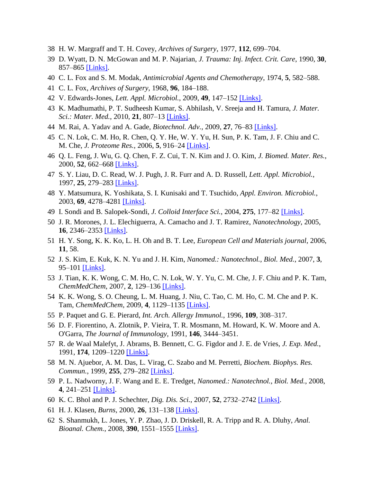- H. W. Margraff and T. H. Covey, *Archives of Surgery*, 1977, **112**, 699–704.
- D. Wyatt, D. N. McGowan and M. P. Najarian, *J. Trauma: Inj. Infect. Crit. Care*, 1990, **30**, 857–865 [\[Links\].](http://www.rsc.org/delivery/_ArticleLinking/citationresolver.cfm?artID=1826432)
- C. L. Fox and S. M. Modak, *Antimicrobial Agents and Chemotherapy*, 1974, **5**, 582–588.
- C. L. Fox, *Archives of Surgery*, 1968, **96**, 184–188.
- V. Edwards-Jones, *Lett. Appl. Microbiol.*, 2009, **49**, 147–152 [\[Links\].](http://www.rsc.org/delivery/_ArticleLinking/citationresolver.cfm?artID=1826433)
- K. Madhumathi, P. T. Sudheesh Kumar, S. Abhilash, V. Sreeja and H. Tamura, *J. Mater. Sci.: Mater. Med.*, 2010, **21**, 807–13 [\[Links\].](http://www.rsc.org/delivery/_ArticleLinking/citationresolver.cfm?artID=1826434)
- M. Rai, A. Yadav and A. Gade, *Biotechnol. Adv.*, 2009, **27**, 76–83 [\[Links\].](http://www.rsc.org/delivery/_ArticleLinking/citationresolver.cfm?artID=1676271)
- C. N. Lok, C. M. Ho, R. Chen, Q. Y. He, W. Y. Yu, H. Sun, P. K. Tam, J. F. Chiu and C. M. Che, *J. Proteome Res.*, 2006, **5**, 916–24 [\[Links\].](http://www.rsc.org/delivery/_ArticleLinking/citationresolver.cfm?artID=1284896)
- Q. L. Feng, J. Wu, G. Q. Chen, F. Z. Cui, T. N. Kim and J. O. Kim, *J. Biomed. Mater. Res.*, 2000, **52**, 662–668 [\[Links\].](http://www.rsc.org/delivery/_ArticleLinking/citationresolver.cfm?artID=1032068)
- S. Y. Liau, D. C. Read, W. J. Pugh, J. R. Furr and A. D. Russell, *Lett. Appl. Microbiol.*, 1997, **25**, 279–283 [\[Links\].](http://www.rsc.org/delivery/_ArticleLinking/citationresolver.cfm?artID=1635753)
- Y. Matsumura, K. Yoshikata, S. I. Kunisaki and T. Tsuchido, *Appl. Environ. Microbiol.*, 2003, **69**, 4278–4281 [\[Links\].](http://www.rsc.org/delivery/_ArticleLinking/citationresolver.cfm?artID=1392809)
- I. Sondi and B. Salopek-Sondi, *J. Colloid Interface Sci.*, 2004, **275**, 177–82 [\[Links\].](http://www.rsc.org/delivery/_ArticleLinking/citationresolver.cfm?artID=1284894)
- J. R. Morones, J. L. Elechiguerra, A. Camacho and J. T. Ramirez, *Nanotechnology*, 2005, , 2346–2353 [\[Links\].](http://www.rsc.org/delivery/_ArticleLinking/citationresolver.cfm?artID=1317377)
- H. Y. Song, K. K. Ko, L. H. Oh and B. T. Lee, *European Cell and Materials journal*, 2006, , 58.
- J. S. Kim, E. Kuk, K. N. Yu and J. H. Kim, *Nanomed.: Nanotechnol., Biol. Med.*, 2007, **3**, 95–101 [\[Links\].](http://www.rsc.org/delivery/_ArticleLinking/citationresolver.cfm?artID=1514878)
- J. Tian, K. K. Wong, C. M. Ho, C. N. Lok, W. Y. Yu, C. M. Che, J. F. Chiu and P. K. Tam, *ChemMedChem*, 2007, **2**, 129–136 [\[Links\].](http://www.rsc.org/delivery/_ArticleLinking/citationresolver.cfm?artID=1826435)
- K. K. Wong, S. O. Cheung, L. M. Huang, J. Niu, C. Tao, C. M. Ho, C. M. Che and P. K. Tam, *ChemMedChem*, 2009, **4**, 1129–1135 [\[Links\].](http://www.rsc.org/delivery/_ArticleLinking/citationresolver.cfm?artID=1826436)
- P. Paquet and G. E. Pierard, *Int. Arch. Allergy Immunol.*, 1996, **109**, 308–317.
- D. F. Fiorentino, A. Zlotnik, P. Vieira, T. R. Mosmann, M. Howard, K. W. Moore and A. O'Garra, *The Journal of Immunology*, 1991, **146**, 3444–3451.
- R. de Waal Malefyt, J. Abrams, B. Bennett, C. G. Figdor and J. E. de Vries, *J. Exp. Med.*, 1991, **174**, 1209–1220 [\[Links\].](http://www.rsc.org/delivery/_ArticleLinking/citationresolver.cfm?artID=1826437)
- M. N. Ajuebor, A. M. Das, L. Virag, C. Szabo and M. Perretti, *Biochem. Biophys. Res. Commun.*, 1999, **255**, 279–282 [\[Links\].](http://www.rsc.org/delivery/_ArticleLinking/citationresolver.cfm?artID=1826438)
- P. L. Nadworny, J. F. Wang and E. E. Tredget, *Nanomed.: Nanotechnol., Biol. Med.*, 2008, , 241–251 [\[Links\].](http://www.rsc.org/delivery/_ArticleLinking/citationresolver.cfm?artID=1826439)
- K. C. Bhol and P. J. Schechter, *Dig. Dis. Sci.*, 2007, **52**, 2732–2742 [\[Links\].](http://www.rsc.org/delivery/_ArticleLinking/citationresolver.cfm?artID=1826440)
- H. J. Klasen, *Burns*, 2000, **26**, 131–138 [\[Links\].](http://www.rsc.org/delivery/_ArticleLinking/citationresolver.cfm?artID=1272855)
- S. Shanmukh, L. Jones, Y. P. Zhao, J. D. Driskell, R. A. Tripp and R. A. Dluhy, *Anal. Bioanal. Chem.*, 2008, **390**, 1551–1555 [\[Links\].](http://www.rsc.org/delivery/_ArticleLinking/citationresolver.cfm?artID=1766028)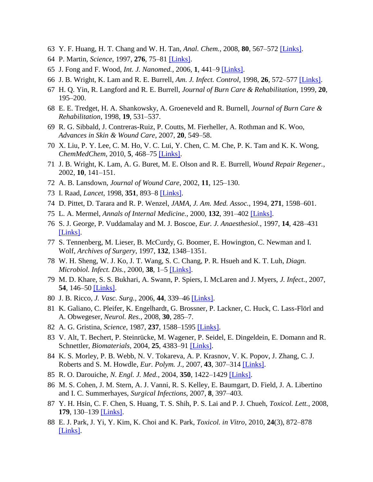- Y. F. Huang, H. T. Chang and W. H. Tan, *Anal. Chem.*, 2008, **80**, 567–572 [\[Links\].](http://www.rsc.org/delivery/_ArticleLinking/citationresolver.cfm?artID=1614907)
- P. Martin, *Science*, 1997, **276**, 75–81 [\[Links\].](http://www.rsc.org/delivery/_ArticleLinking/citationresolver.cfm?artID=1582267)
- J. Fong and F. Wood, *Int. J. Nanomed.*, 2006, **1**, 441–9 [\[Links\].](http://www.rsc.org/delivery/_ArticleLinking/citationresolver.cfm?artID=1826441)
- J. B. Wright, K. Lam and R. E. Burrell, *Am. J. Infect. Control*, 1998, **26**, 572–577 [\[Links\].](http://www.rsc.org/delivery/_ArticleLinking/citationresolver.cfm?artID=1826442)
- H. Q. Yin, R. Langford and R. E. Burrell, *Journal of Burn Care & Rehabilitation*, 1999, **20**, 195–200.
- E. E. Tredget, H. A. Shankowsky, A. Groeneveld and R. Burnell, *Journal of Burn Care & Rehabilitation*, 1998, **19**, 531–537.
- R. G. Sibbald, J. Contreras-Ruiz, P. Coutts, M. Fierheller, A. Rothman and K. Woo, *Advances in Skin & Wound Care*, 2007, **20**, 549–58.
- X. Liu, P. Y. Lee, C. M. Ho, V. C. Lui, Y. Chen, C. M. Che, P. K. Tam and K. K. Wong, *ChemMedChem*, 2010, **5**, 468–75 [\[Links\].](http://www.rsc.org/delivery/_ArticleLinking/citationresolver.cfm?artID=1826443)
- J. B. Wright, K. Lam, A. G. Buret, M. E. Olson and R. E. Burrell, *Wound Repair Regener.*, 2002, **10**, 141–151.
- A. B. Lansdown, *Journal of Wound Care*, 2002, **11**, 125–130.
- I. Raad, *Lancet*, 1998, **351**, 893–8 [\[Links\].](http://www.rsc.org/delivery/_ArticleLinking/citationresolver.cfm?artID=1676256)
- D. Pittet, D. Tarara and R. P. Wenzel, *JAMA, J. Am. Med. Assoc.*, 1994, **271**, 1598–601.
- L. A. Mermel, *Annals of Internal Medicine.*, 2000, **132**, 391–402 [\[Links\].](http://www.rsc.org/delivery/_ArticleLinking/citationresolver.cfm?artID=1646992)
- S. J. George, P. Vuddamalay and M. J. Boscoe, *Eur. J. Anaesthesiol.*, 1997, **14**, 428–431 [\[Links\].](http://www.rsc.org/delivery/_ArticleLinking/citationresolver.cfm?artID=1826444)
- S. Tennenberg, M. Lieser, B. McCurdy, G. Boomer, E. Howington, C. Newman and I. Wolf, *Archives of Surgery*, 1997, **132**, 1348–1351.
- W. H. Sheng, W. J. Ko, J. T. Wang, S. C. Chang, P. R. Hsueh and K. T. Luh, *Diagn. Microbiol. Infect. Dis.*, 2000, **38**, 1–5 [\[Links\].](http://www.rsc.org/delivery/_ArticleLinking/citationresolver.cfm?artID=1826445)
- M. D. Khare, S. S. Bukhari, A. Swann, P. Spiers, I. McLaren and J. Myers, *J. Infect.*, 2007, , 146–50 [\[Links\].](http://www.rsc.org/delivery/_ArticleLinking/citationresolver.cfm?artID=1826446)
- J. B. Ricco, *J. Vasc. Surg.*, 2006, **44**, 339–46 [\[Links\].](http://www.rsc.org/delivery/_ArticleLinking/citationresolver.cfm?artID=1826447)
- K. Galiano, C. Pleifer, K. Engelhardt, G. Brossner, P. Lackner, C. Huck, C. Lass-Flörl and A. Obwegeser, *Neurol. Res.*, 2008, **30**, 285–7.
- A. G. Gristina, *Science*, 1987, **237**, 1588–1595 [\[Links\].](http://www.rsc.org/delivery/_ArticleLinking/citationresolver.cfm?artID=480417)
- V. Alt, T. Bechert, P. Steinrücke, M. Wagener, P. Seidel, E. Dingeldein, E. Domann and R. Schnettler, *Biomaterials*, 2004, **25**, 4383–91 [\[Links\].](http://www.rsc.org/delivery/_ArticleLinking/citationresolver.cfm?artID=1543253)
- K. S. Morley, P. B. Webb, N. V. Tokareva, A. P. Krasnov, V. K. Popov, J. Zhang, C. J. Roberts and S. M. Howdle, *Eur. Polym. J.*, 2007, **43**, 307–314 [\[Links\].](http://www.rsc.org/delivery/_ArticleLinking/citationresolver.cfm?artID=1689530)
- R. O. Darouiche, *N. Engl. J. Med.*, 2004, **350**, 1422–1429 [\[Links\].](http://www.rsc.org/delivery/_ArticleLinking/citationresolver.cfm?artID=1287680)
- M. S. Cohen, J. M. Stern, A. J. Vanni, R. S. Kelley, E. Baumgart, D. Field, J. A. Libertino and I. C. Summerhayes, *Surgical Infections*, 2007, **8**, 397–403.
- Y. H. Hsin, C. F. Chen, S. Huang, T. S. Shih, P. S. Lai and P. J. Chueh, *Toxicol. Lett.*, 2008, , 130–139 [\[Links\].](http://www.rsc.org/delivery/_ArticleLinking/citationresolver.cfm?artID=1826448)
- E. J. Park, J. Yi, Y. Kim, K. Choi and K. Park, *Toxicol. in Vitro*, 2010, **24**(3), 872–878 [\[Links\].](http://www.rsc.org/delivery/_ArticleLinking/citationresolver.cfm?artID=1826449)